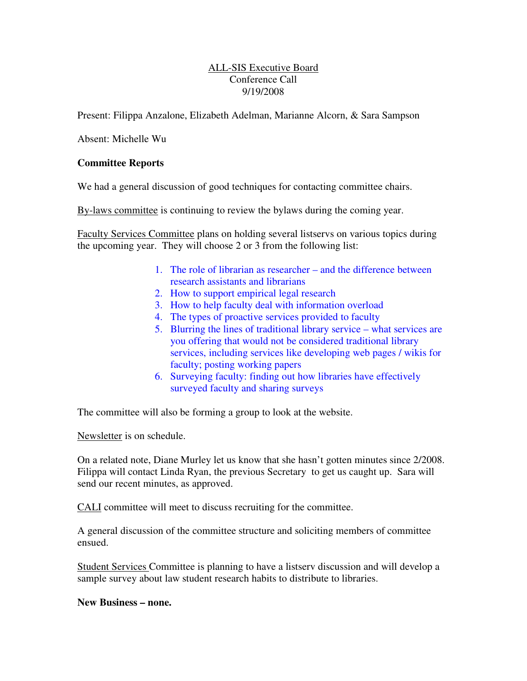## ALL-SIS Executive Board Conference Call 9/19/2008

Present: Filippa Anzalone, Elizabeth Adelman, Marianne Alcorn, & Sara Sampson

Absent: Michelle Wu

## **Committee Reports**

We had a general discussion of good techniques for contacting committee chairs.

By-laws committee is continuing to review the bylaws during the coming year.

Faculty Services Committee plans on holding several listservs on various topics during the upcoming year. They will choose 2 or 3 from the following list:

- 1. The role of librarian as researcher and the difference between research assistants and librarians
- 2. How to support empirical legal research
- 3. How to help faculty deal with information overload
- 4. The types of proactive services provided to faculty
- 5. Blurring the lines of traditional library service what services are you offering that would not be considered traditional library services, including services like developing web pages / wikis for faculty; posting working papers
- 6. Surveying faculty: finding out how libraries have effectively surveyed faculty and sharing surveys

The committee will also be forming a group to look at the website.

Newsletter is on schedule.

On a related note, Diane Murley let us know that she hasn't gotten minutes since 2/2008. Filippa will contact Linda Ryan, the previous Secretary to get us caught up. Sara will send our recent minutes, as approved.

CALI committee will meet to discuss recruiting for the committee.

A general discussion of the committee structure and soliciting members of committee ensued.

Student Services Committee is planning to have a listserv discussion and will develop a sample survey about law student research habits to distribute to libraries.

**New Business – none.**